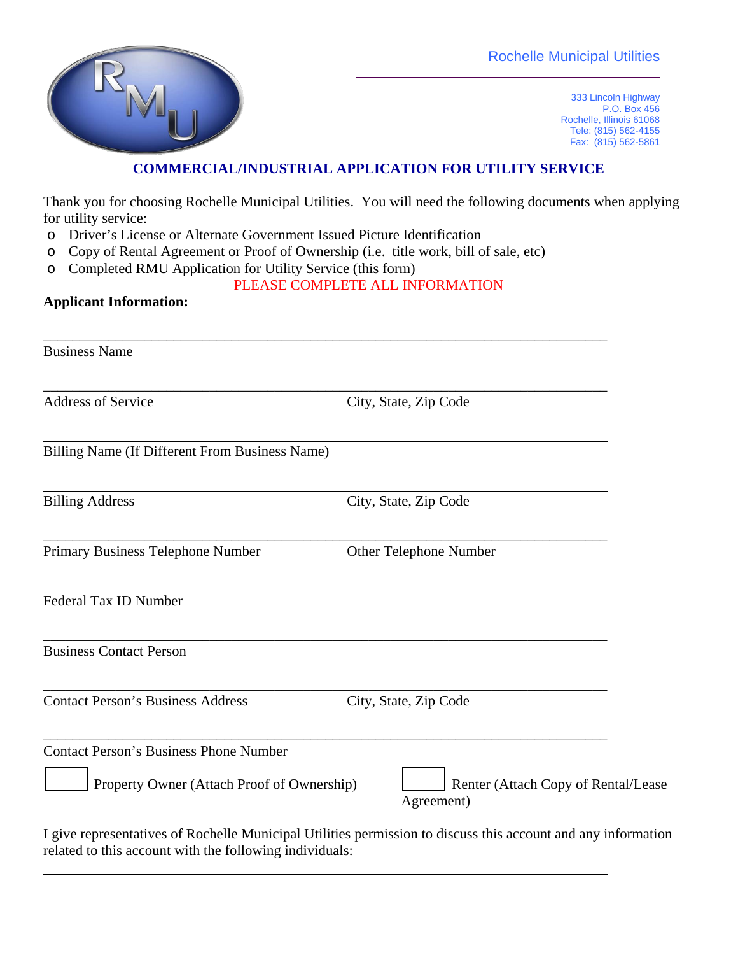

333 Lincoln Highway P.O. Box 456 Rochelle, Illinois 61068 Tele: (815) 562-4155 Fax: (815) 562-5861

## **COMMERCIAL/INDUSTRIAL APPLICATION FOR UTILITY SERVICE**

Thank you for choosing Rochelle Municipal Utilities. You will need the following documents when applying for utility service:

- o Driver's License or Alternate Government Issued Picture Identification
- o Copy of Rental Agreement or Proof of Ownership (i.e. title work, bill of sale, etc)
- o Completed RMU Application for Utility Service (this form)

## PLEASE COMPLETE ALL INFORMATION

## **Applicant Information:**

| <b>Business Name</b>                                  |                                                                                                               |
|-------------------------------------------------------|---------------------------------------------------------------------------------------------------------------|
| <b>Address of Service</b>                             | City, State, Zip Code                                                                                         |
| <b>Billing Name (If Different From Business Name)</b> |                                                                                                               |
| <b>Billing Address</b>                                | City, State, Zip Code                                                                                         |
| Primary Business Telephone Number                     | Other Telephone Number                                                                                        |
| Federal Tax ID Number                                 |                                                                                                               |
| <b>Business Contact Person</b>                        |                                                                                                               |
| <b>Contact Person's Business Address</b>              | City, State, Zip Code                                                                                         |
| <b>Contact Person's Business Phone Number</b>         |                                                                                                               |
| Property Owner (Attach Proof of Ownership)            | Renter (Attach Copy of Rental/Lease<br>Agreement)                                                             |
|                                                       | I give representatives of Rochelle Municipal Utilities permission to discuss this account and any information |

I give representatives of Rochelle Municipal Utilities permission to discuss this account and any information related to this account with the following individuals: